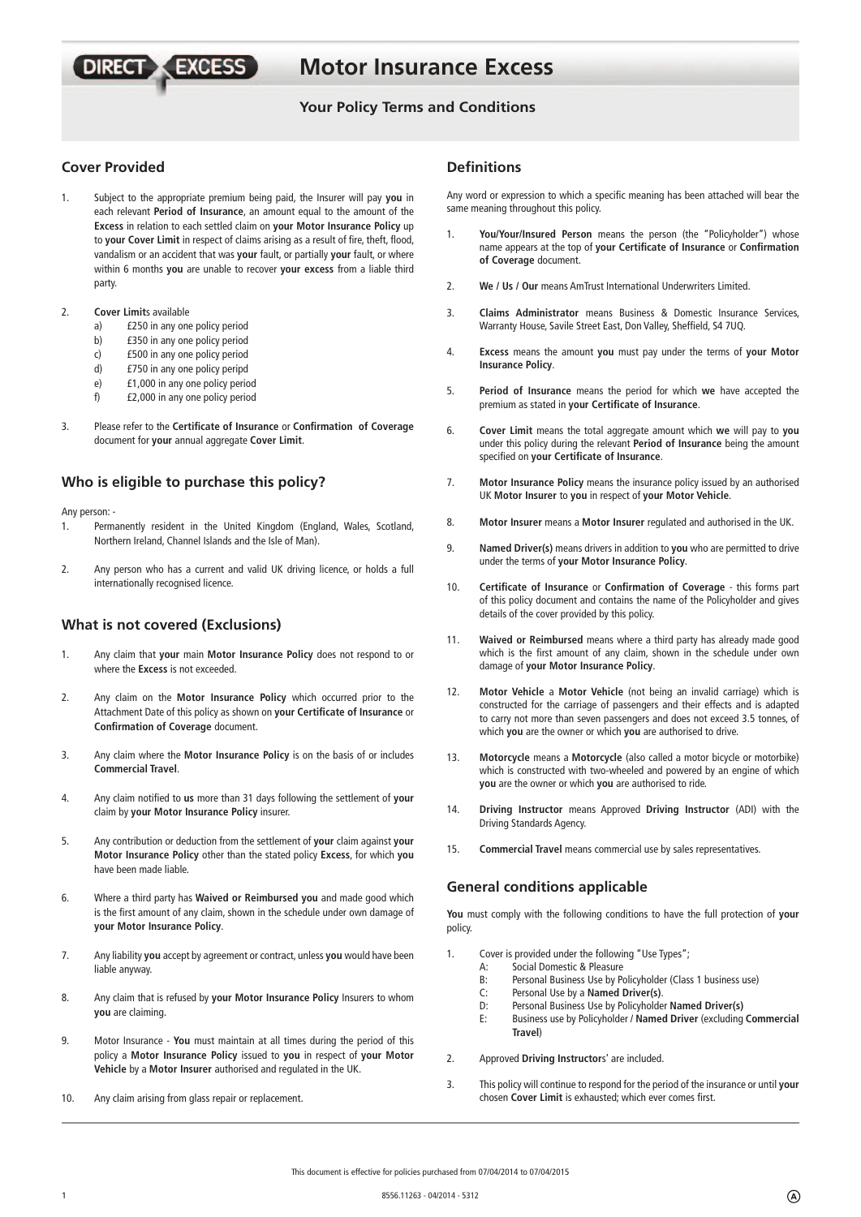# **Motor Insurance Excess**

# **Your Policy Terms and Conditions**

# **Cover Provided**

- 1. Subject to the appropriate premium being paid, the Insurer will pay **you** in each relevant **Period of Insurance**, an amount equal to the amount of the **Excess** in relation to each settled claim on **your Motor Insurance Policy** up to **your Cover Limit** in respect of claims arising as a result of fire, theft, flood, vandalism or an accident that was **your** fault, or partially **your** fault, or where within 6 months **you** are unable to recover **your excess** from a liable third party.
- 2. **Cover Limit**s available
	- a) £250 in any one policy period

**DIRECT X EXCESS** 

- b) £350 in any one policy period
- c) £500 in any one policy period
- d) £750 in any one policy peripd
- e) £1,000 in any one policy period
- f) £2,000 in any one policy period
- 3. Please refer to the **Certifi cate of Insurance** or **Confi rmation of Coverage**  document for **your** annual aggregate **Cover Limit**.

## **Who is eligible to purchase this policy?**

Any person: -

- 1. Permanently resident in the United Kingdom (England, Wales, Scotland, Northern Ireland, Channel Islands and the Isle of Man).
- 2. Any person who has a current and valid UK driving licence, or holds a full internationally recognised licence.

# **What is not covered (Exclusions)**

- 1. Any claim that **your** main **Motor Insurance Policy** does not respond to or where the **Excess** is not exceeded.
- 2. Any claim on the **Motor Insurance Policy** which occurred prior to the Attachment Date of this policy as shown on your Certificate of Insurance or **Confirmation of Coverage document.**
- 3. Any claim where the **Motor Insurance Policy** is on the basis of or includes **Commercial Travel**.
- 4. Any claim notified to us more than 31 days following the settlement of your claim by **your Motor Insurance Policy** insurer.
- 5. Any contribution or deduction from the settlement of **your** claim against **your Motor Insurance Policy** other than the stated policy **Excess**, for which **you**  have been made liable.
- 6. Where a third party has **Waived or Reimbursed you** and made good which is the first amount of any claim, shown in the schedule under own damage of **your Motor Insurance Policy**.
- 7. Any liability **you** accept by agreement or contract, unless **you** would have been liable anyway.
- 8. Any claim that is refused by **your Motor Insurance Policy** Insurers to whom **you** are claiming.
- 9. Motor Insurance **You** must maintain at all times during the period of this policy a **Motor Insurance Policy** issued to **you** in respect of **your Motor Vehicle** by a **Motor Insurer** authorised and regulated in the UK.
- 10. Any claim arising from glass repair or replacement.

# **Defi nitions**

Any word or expression to which a specific meaning has been attached will bear the same meaning throughout this policy.

- 1. **You/Your/Insured Person** means the person (the "Policyholder") whose name appears at the top of your Certificate of Insurance or Confirmation **of Coverage** document.
- 2. **We / Us / Our** means AmTrust International Underwriters Limited.
- 3. **Claims Administrator** means Business & Domestic Insurance Services, Warranty House, Savile Street East, Don Valley, Sheffield, S4 7UQ.
- 4. **Excess** means the amount **you** must pay under the terms of **your Motor Insurance Policy**.
- 5. **Period of Insurance** means the period for which **we** have accepted the premium as stated in your Certificate of Insurance.
- 6. **Cover Limit** means the total aggregate amount which **we** will pay to **you**  under this policy during the relevant **Period of Insurance** being the amount specified on your Certificate of Insurance.
- 7. **Motor Insurance Policy** means the insurance policy issued by an authorised UK **Motor Insurer** to **you** in respect of **your Motor Vehicle**.
- 8. **Motor Insurer** means a **Motor Insurer** regulated and authorised in the UK.
- 9. **Named Driver(s)** means drivers in addition to **you** who are permitted to drive under the terms of **your Motor Insurance Policy**.
- 10. **Certificate of Insurance or Confirmation of Coverage** this forms part of this policy document and contains the name of the Policyholder and gives details of the cover provided by this policy.
- 11. **Waived or Reimbursed** means where a third party has already made good which is the first amount of any claim, shown in the schedule under own damage of **your Motor Insurance Policy**.
- 12. **Motor Vehicle** a **Motor Vehicle** (not being an invalid carriage) which is constructed for the carriage of passengers and their effects and is adapted to carry not more than seven passengers and does not exceed 3.5 tonnes, of which **you** are the owner or which **you** are authorised to drive.
- 13. **Motorcycle** means a **Motorcycle** (also called a motor bicycle or motorbike) which is constructed with two-wheeled and powered by an engine of which **you** are the owner or which **you** are authorised to ride.
- 14. **Driving Instructor** means Approved **Driving Instructor** (ADI) with the Driving Standards Agency.
- 15. **Commercial Travel** means commercial use by sales representatives.

# **General conditions applicable**

**You** must comply with the following conditions to have the full protection of **your**  policy.

- 1. Cover is provided under the following "Use Types";
	- A: Social Domestic & Pleasure
	- B: Personal Business Use by Policyholder (Class 1 business use)<br>C: Personal Use by a Named Driver(s).
	- C: Personal Use by a **Named Driver(s)**.
		- D: Personal Business Use by Policyholder **Named Driver(s)**
	- E: Business use by Policyholder / **Named Driver** (excluding **Commercial Travel**)
- 2. Approved **Driving Instructor**s' are included.
- 3. This policy will continue to respond for the period of the insurance or until **your**  chosen **Cover Limit** is exhausted; which ever comes first.